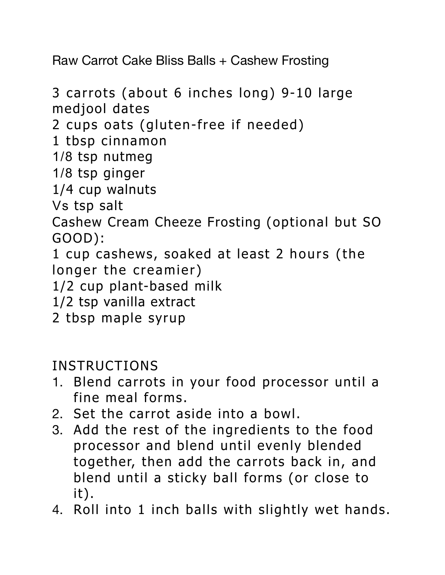Raw Carrot Cake Bliss Balls + Cashew Frosting

3 carrots (about 6 inches long) 9-10 large medjool dates 2 cups oats (gluten-free if needed) 1 tbsp cinnamon 1/8 tsp nutmeg 1/8 tsp ginger 1/4 cup walnuts Vs tsp salt Cashew Cream Cheeze Frosting (optional but SO GOOD): 1 cup cashews, soaked at least 2 hours (the longer the creamier) 1/2 cup plant-based milk 1/2 tsp vanilla extract 2 tbsp maple syrup

INSTRUCTIONS

- 1. Blend carrots in your food processor until a fine meal forms.
- 2. Set the carrot aside into a bowl.
- 3. Add the rest of the ingredients to the food processor and blend until evenly blended together, then add the carrots back in, and blend until a sticky ball forms (or close to it).
- 4. Roll into 1 inch balls with slightly wet hands.